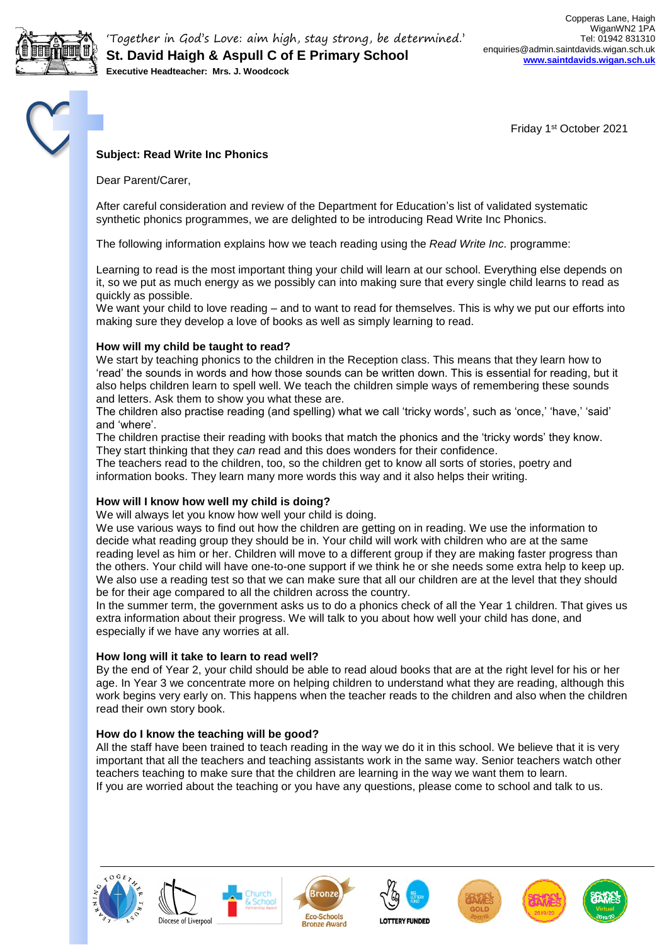

'Together in God's Love: aim high, stay strong, be determined.' **St. David Haigh & Aspull C of E Primary School Executive Headteacher: Mrs. J. Woodcock**

Friday 1st October 2021

# **Subject: Read Write Inc Phonics**

Dear Parent/Carer,

After careful consideration and review of the Department for Education's list of validated systematic synthetic phonics programmes, we are delighted to be introducing Read Write Inc Phonics.

The following information explains how we teach reading using the *Read Write Inc.* programme:

Learning to read is the most important thing your child will learn at our school. Everything else depends on it, so we put as much energy as we possibly can into making sure that every single child learns to read as quickly as possible.

We want your child to love reading – and to want to read for themselves. This is why we put our efforts into making sure they develop a love of books as well as simply learning to read.

### **How will my child be taught to read?**

We start by teaching phonics to the children in the Reception class. This means that they learn how to 'read' the sounds in words and how those sounds can be written down. This is essential for reading, but it also helps children learn to spell well. We teach the children simple ways of remembering these sounds and letters. Ask them to show you what these are.

The children also practise reading (and spelling) what we call 'tricky words', such as 'once,' 'have,' 'said' and 'where'.

The children practise their reading with books that match the phonics and the 'tricky words' they know. They start thinking that they *can* read and this does wonders for their confidence.

The teachers read to the children, too, so the children get to know all sorts of stories, poetry and information books. They learn many more words this way and it also helps their writing.

# **How will I know how well my child is doing?**

We will always let you know how well your child is doing.

We use various ways to find out how the children are getting on in reading. We use the information to decide what reading group they should be in. Your child will work with children who are at the same reading level as him or her. Children will move to a different group if they are making faster progress than the others. Your child will have one-to-one support if we think he or she needs some extra help to keep up. We also use a reading test so that we can make sure that all our children are at the level that they should be for their age compared to all the children across the country.

In the summer term, the government asks us to do a phonics check of all the Year 1 children. That gives us extra information about their progress. We will talk to you about how well your child has done, and especially if we have any worries at all.

#### **How long will it take to learn to read well?**

By the end of Year 2, your child should be able to read aloud books that are at the right level for his or her age. In Year 3 we concentrate more on helping children to understand what they are reading, although this work begins very early on. This happens when the teacher reads to the children and also when the children read their own story book.

#### **How do I know the teaching will be good?**

All the staff have been trained to teach reading in the way we do it in this school. We believe that it is very important that all the teachers and teaching assistants work in the same way. Senior teachers watch other teachers teaching to make sure that the children are learning in the way we want them to learn. If you are worried about the teaching or you have any questions, please come to school and talk to us.